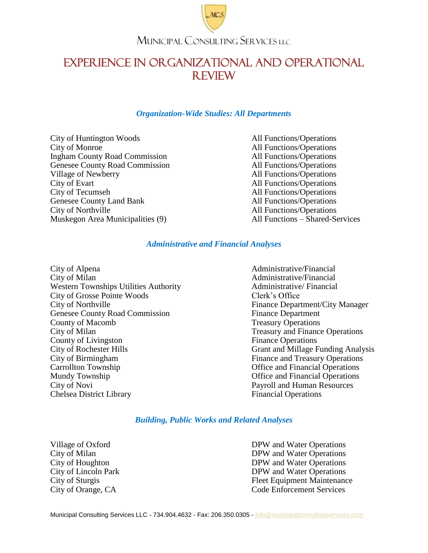

## EXPERIENCE IN ORGANIZATIONAL AND OPERATIONAL REVIEW

### *Organization-Wide Studies: All Departments*

City of Huntington Woods All Functions/Operations City of Monroe All Functions/Operations Ingham County Road Commission All Functions/Operations Genesee County Road Commission All Functions/Operations Village of Newberry All Functions/Operations City of Evart All Functions/Operations<br>
City of Tecumseh All Functions/Operations Genesee County Land Bank All Functions/Operations City of Northville<br>
Muskegon Area Municipalities (9) All Functions – Shared-Services<br>
All Functions – Shared-Services Muskegon Area Municipalities (9)

All Functions/Operations

### *Administrative and Financial Analyses*

City of Alpena Administrative/Financial City of Milan **Administrative/Financial** Western Townships Utilities Authority **Administrative** / Financial City of Grosse Pointe Woods Clerk's Office City of Northville **Finance Department/City Manager** Genesee County Road Commission Finance Department County of Macomb<br>
City of Milan<br>
City of Milan<br>
City of Milan **County of Livingston** Finance Operations City of Rochester Hills Grant and Millage Funding Analysis City of Birmingham Finance and Treasury Operations Carrollton Township Carrollton Township Mundy Township **Mundy Township Office and Financial Operations** City of Novi Payroll and Human Resources Chelsea District Library Financial Operations

Treasury and Finance Operations

### *Building, Public Works and Related Analyses*

Village of Oxford DPW and Water Operations<br>City of Milan DPW and Water Operations DPW and Water Operations City of Houghton DPW and Water Operations City of Lincoln Park DPW and Water Operations City of Sturgis Fleet Equipment Maintenance City of Orange, CA Code Enforcement Services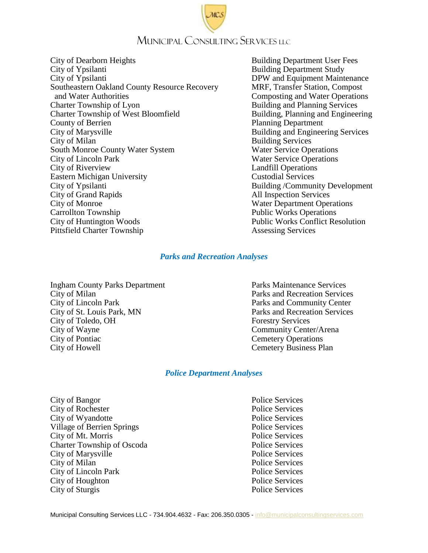# MUNICIPAL CONSULTING SERVICES LLC

- City of Dearborn Heights **Building Department User Fees** City of Ypsilanti Building Department Study City of Ypsilanti DPW and Equipment Maintenance Southeastern Oakland County Resource Recovery MRF, Transfer Station, Compost and Water Authorities Composting and Water Operations Charter Township of Lyon Building and Planning Services Charter Township of West Bloomfield Building, Planning and Engineering **County of Berrien** Planning Department City of Marysville **Building and Engineering Services** City of Milan<br>
South Monroe County Water System<br>
South Monroe County Water System<br>
South Monroe County Water System<br>
South Monroe County Water System<br>
South Monroe County Water System<br>
South Monroe County Water System<br>
Sou South Monroe County Water System City of Lincoln Park Water Service Operations City of Riverview Landfill Operations Eastern Michigan University Custodial Services City of Ypsilanti Building /Community Development City of Grand Rapids All Inspection Services City of Monroe Water Department Operations Carrollton Township **Public Works Operations** City of Huntington Woods Public Works Conflict Resolution Pittsfield Charter Township Assessing Services
- 

### *Parks and Recreation Analyses*

Ingham County Parks Department Parks Maintenance Services City of Milan **Parks** and Recreation Services City of Lincoln Park Parks and Community Center City of St. Louis Park, MN Parks and Recreation Services City of Toledo, OH Forestry Services City of Wayne Community Center/Arena City of Pontiac Cemetery Operations City of Howell City of Howell Cemetery Business Plan

### *Police Department Analyses*

City of Bangor<br>
City of Rochester<br>
Police Services<br>
Police Services City of Rochester City of Wyandotte Police Services Village of Berrien Springs Police Services City of Mt. Morris Police Services Charter Township of Oscoda Police Services City of Marysville **Police Services** City of Milan Police Services City of Lincoln Park Police Services City of Houghton Police Services City of Sturgis Police Services